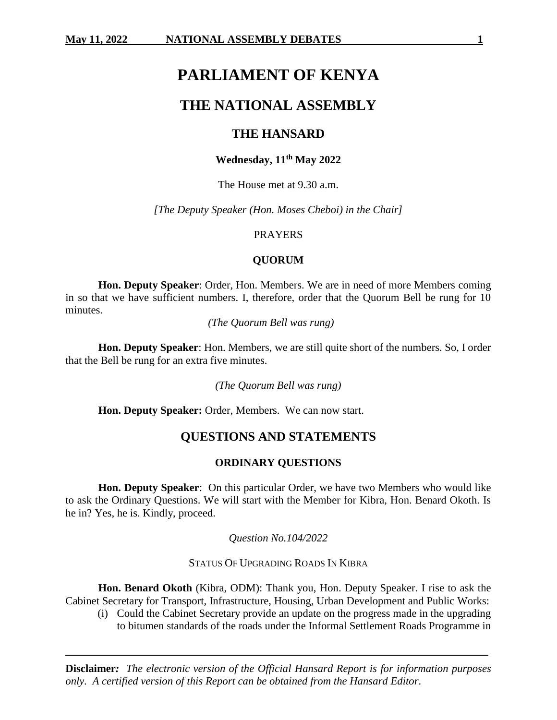# **PARLIAMENT OF KENYA**

## **THE NATIONAL ASSEMBLY**

## **THE HANSARD**

## **Wednesday, 11th May 2022**

The House met at 9.30 a.m.

*[The Deputy Speaker (Hon. Moses Cheboi) in the Chair]*

## PRAYERS

## **QUORUM**

**Hon. Deputy Speaker**: Order, Hon. Members. We are in need of more Members coming in so that we have sufficient numbers. I, therefore, order that the Quorum Bell be rung for 10 minutes.

*(The Quorum Bell was rung)*

**Hon. Deputy Speaker**: Hon. Members, we are still quite short of the numbers. So, I order that the Bell be rung for an extra five minutes.

*(The Quorum Bell was rung)*

**Hon. Deputy Speaker:** Order, Members. We can now start.

## **QUESTIONS AND STATEMENTS**

## **ORDINARY QUESTIONS**

**Hon. Deputy Speaker**: On this particular Order, we have two Members who would like to ask the Ordinary Questions. We will start with the Member for Kibra, Hon. Benard Okoth. Is he in? Yes, he is. Kindly, proceed.

*Question No.104/2022*

STATUS OF UPGRADING ROADS IN KIBRA

**Hon. Benard Okoth** (Kibra, ODM): Thank you, Hon. Deputy Speaker. I rise to ask the Cabinet Secretary for Transport, Infrastructure, Housing, Urban Development and Public Works:

(i) Could the Cabinet Secretary provide an update on the progress made in the upgrading to bitumen standards of the roads under the Informal Settlement Roads Programme in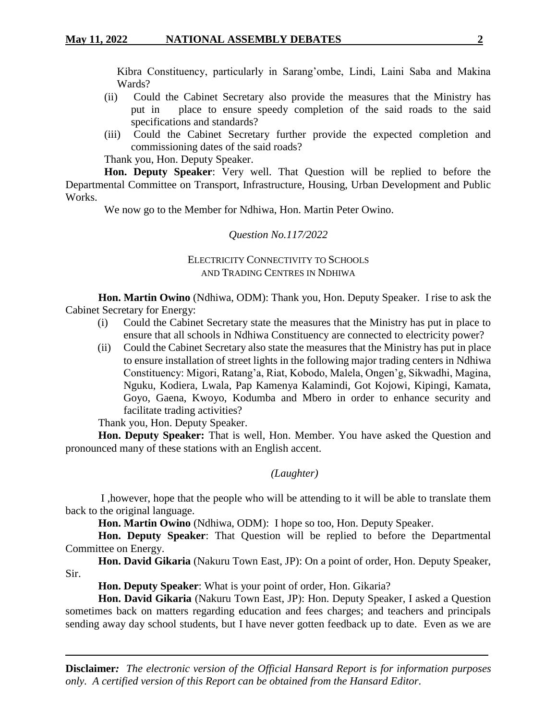Kibra Constituency, particularly in Sarang'ombe, Lindi, Laini Saba and Makina Wards?

- (ii) Could the Cabinet Secretary also provide the measures that the Ministry has put in place to ensure speedy completion of the said roads to the said specifications and standards?
- (iii) Could the Cabinet Secretary further provide the expected completion and commissioning dates of the said roads?

Thank you, Hon. Deputy Speaker.

**Hon. Deputy Speaker**: Very well. That Question will be replied to before the Departmental Committee on Transport, Infrastructure, Housing, Urban Development and Public Works.

We now go to the Member for Ndhiwa, Hon. Martin Peter Owino.

## *Question No.117/2022*

## ELECTRICITY CONNECTIVITY TO SCHOOLS AND TRADING CENTRES IN NDHIWA

**Hon. Martin Owino** (Ndhiwa, ODM): Thank you, Hon. Deputy Speaker. I rise to ask the Cabinet Secretary for Energy:

- (i) Could the Cabinet Secretary state the measures that the Ministry has put in place to ensure that all schools in Ndhiwa Constituency are connected to electricity power?
- (ii) Could the Cabinet Secretary also state the measures that the Ministry has put in place to ensure installation of street lights in the following major trading centers in Ndhiwa Constituency: Migori, Ratang'a, Riat, Kobodo, Malela, Ongen'g, Sikwadhi, Magina, Nguku, Kodiera, Lwala, Pap Kamenya Kalamindi, Got Kojowi, Kipingi, Kamata, Goyo, Gaena, Kwoyo, Kodumba and Mbero in order to enhance security and facilitate trading activities?

Thank you, Hon. Deputy Speaker.

**Hon. Deputy Speaker:** That is well, Hon. Member. You have asked the Question and pronounced many of these stations with an English accent.

*(Laughter)*

I ,however, hope that the people who will be attending to it will be able to translate them back to the original language.

**Hon. Martin Owino** (Ndhiwa, ODM): I hope so too, Hon. Deputy Speaker.

**Hon. Deputy Speaker**: That Question will be replied to before the Departmental Committee on Energy.

**Hon. David Gikaria** (Nakuru Town East, JP): On a point of order, Hon. Deputy Speaker, Sir.

**Hon. Deputy Speaker**: What is your point of order, Hon. Gikaria?

**Hon. David Gikaria** (Nakuru Town East, JP): Hon. Deputy Speaker, I asked a Question sometimes back on matters regarding education and fees charges; and teachers and principals sending away day school students, but I have never gotten feedback up to date. Even as we are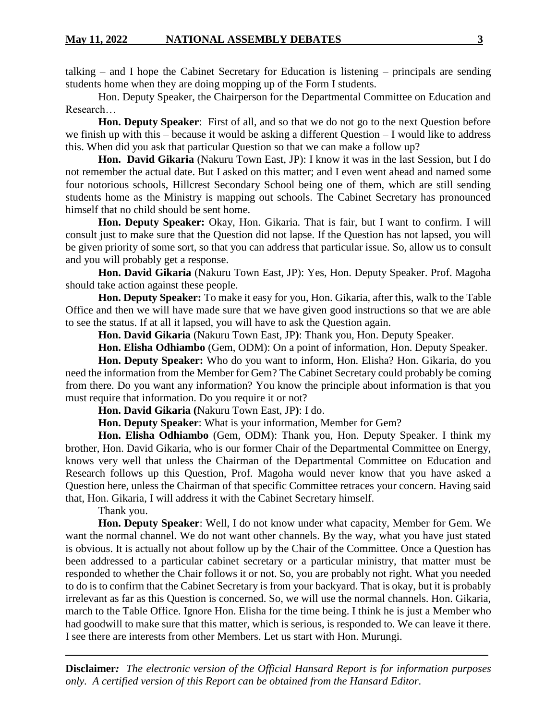talking – and I hope the Cabinet Secretary for Education is listening – principals are sending students home when they are doing mopping up of the Form I students.

Hon. Deputy Speaker, the Chairperson for the Departmental Committee on Education and Research…

**Hon. Deputy Speaker**: First of all, and so that we do not go to the next Question before we finish up with this – because it would be asking a different Question – I would like to address this. When did you ask that particular Question so that we can make a follow up?

**Hon. David Gikaria** (Nakuru Town East, JP): I know it was in the last Session, but I do not remember the actual date. But I asked on this matter; and I even went ahead and named some four notorious schools, Hillcrest Secondary School being one of them, which are still sending students home as the Ministry is mapping out schools. The Cabinet Secretary has pronounced himself that no child should be sent home.

**Hon. Deputy Speaker:** Okay, Hon. Gikaria. That is fair, but I want to confirm. I will consult just to make sure that the Question did not lapse. If the Question has not lapsed, you will be given priority of some sort, so that you can address that particular issue. So, allow us to consult and you will probably get a response.

**Hon. David Gikaria** (Nakuru Town East, JP): Yes, Hon. Deputy Speaker. Prof. Magoha should take action against these people.

**Hon. Deputy Speaker:** To make it easy for you, Hon. Gikaria, after this, walk to the Table Office and then we will have made sure that we have given good instructions so that we are able to see the status. If at all it lapsed, you will have to ask the Question again.

**Hon. David Gikaria** (Nakuru Town East, JP**)**: Thank you, Hon. Deputy Speaker.

**Hon. Elisha Odhiambo** (Gem, ODM): On a point of information, Hon. Deputy Speaker.

**Hon. Deputy Speaker:** Who do you want to inform, Hon. Elisha? Hon. Gikaria, do you need the information from the Member for Gem? The Cabinet Secretary could probably be coming from there. Do you want any information? You know the principle about information is that you must require that information. Do you require it or not?

**Hon. David Gikaria (**Nakuru Town East, JP**)**: I do.

**Hon. Deputy Speaker**: What is your information, Member for Gem?

**Hon. Elisha Odhiambo** (Gem, ODM): Thank you, Hon. Deputy Speaker. I think my brother, Hon. David Gikaria, who is our former Chair of the Departmental Committee on Energy, knows very well that unless the Chairman of the Departmental Committee on Education and Research follows up this Question, Prof. Magoha would never know that you have asked a Question here, unless the Chairman of that specific Committee retraces your concern. Having said that, Hon. Gikaria, I will address it with the Cabinet Secretary himself.

Thank you.

**Hon. Deputy Speaker**: Well, I do not know under what capacity, Member for Gem. We want the normal channel. We do not want other channels. By the way, what you have just stated is obvious. It is actually not about follow up by the Chair of the Committee. Once a Question has been addressed to a particular cabinet secretary or a particular ministry, that matter must be responded to whether the Chair follows it or not. So, you are probably not right. What you needed to do is to confirm that the Cabinet Secretary is from your backyard. That is okay, but it is probably irrelevant as far as this Question is concerned. So, we will use the normal channels. Hon. Gikaria, march to the Table Office. Ignore Hon. Elisha for the time being. I think he is just a Member who had goodwill to make sure that this matter, which is serious, is responded to. We can leave it there. I see there are interests from other Members. Let us start with Hon. Murungi.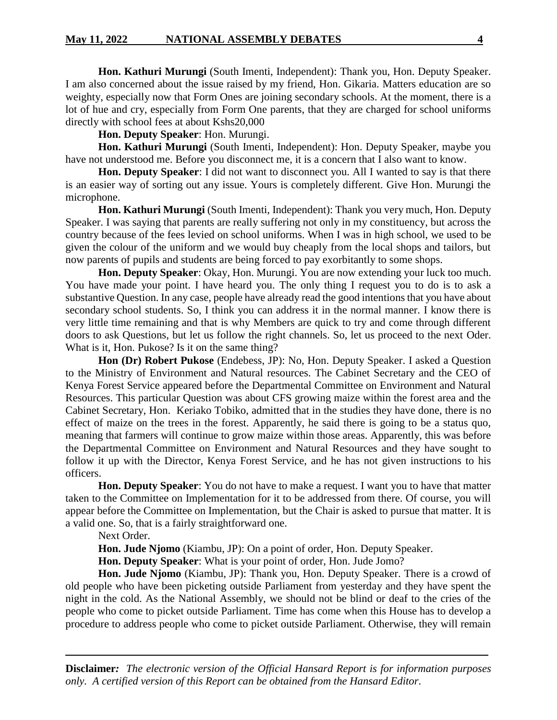**Hon. Kathuri Murungi** (South Imenti, Independent): Thank you, Hon. Deputy Speaker. I am also concerned about the issue raised by my friend, Hon. Gikaria. Matters education are so weighty, especially now that Form Ones are joining secondary schools. At the moment, there is a lot of hue and cry, especially from Form One parents, that they are charged for school uniforms directly with school fees at about Kshs20,000

**Hon. Deputy Speaker**: Hon. Murungi.

**Hon. Kathuri Murungi** (South Imenti, Independent): Hon. Deputy Speaker, maybe you have not understood me. Before you disconnect me, it is a concern that I also want to know.

**Hon. Deputy Speaker**: I did not want to disconnect you. All I wanted to say is that there is an easier way of sorting out any issue. Yours is completely different. Give Hon. Murungi the microphone.

**Hon. Kathuri Murungi** (South Imenti, Independent): Thank you very much, Hon. Deputy Speaker. I was saying that parents are really suffering not only in my constituency, but across the country because of the fees levied on school uniforms. When I was in high school, we used to be given the colour of the uniform and we would buy cheaply from the local shops and tailors, but now parents of pupils and students are being forced to pay exorbitantly to some shops.

**Hon. Deputy Speaker**: Okay, Hon. Murungi. You are now extending your luck too much. You have made your point. I have heard you. The only thing I request you to do is to ask a substantive Question. In any case, people have already read the good intentions that you have about secondary school students. So, I think you can address it in the normal manner. I know there is very little time remaining and that is why Members are quick to try and come through different doors to ask Questions, but let us follow the right channels. So, let us proceed to the next Oder. What is it, Hon. Pukose? Is it on the same thing?

**Hon (Dr) Robert Pukose** (Endebess, JP): No, Hon. Deputy Speaker. I asked a Question to the Ministry of Environment and Natural resources. The Cabinet Secretary and the CEO of Kenya Forest Service appeared before the Departmental Committee on Environment and Natural Resources. This particular Question was about CFS growing maize within the forest area and the Cabinet Secretary, Hon. Keriako Tobiko, admitted that in the studies they have done, there is no effect of maize on the trees in the forest. Apparently, he said there is going to be a status quo, meaning that farmers will continue to grow maize within those areas. Apparently, this was before the Departmental Committee on Environment and Natural Resources and they have sought to follow it up with the Director, Kenya Forest Service, and he has not given instructions to his officers.

**Hon. Deputy Speaker**: You do not have to make a request. I want you to have that matter taken to the Committee on Implementation for it to be addressed from there. Of course, you will appear before the Committee on Implementation, but the Chair is asked to pursue that matter. It is a valid one. So, that is a fairly straightforward one.

Next Order.

**Hon. Jude Njomo** (Kiambu, JP): On a point of order, Hon. Deputy Speaker.

**Hon. Deputy Speaker**: What is your point of order, Hon. Jude Jomo?

**Hon. Jude Njomo** (Kiambu, JP): Thank you, Hon. Deputy Speaker. There is a crowd of old people who have been picketing outside Parliament from yesterday and they have spent the night in the cold. As the National Assembly, we should not be blind or deaf to the cries of the people who come to picket outside Parliament. Time has come when this House has to develop a procedure to address people who come to picket outside Parliament. Otherwise, they will remain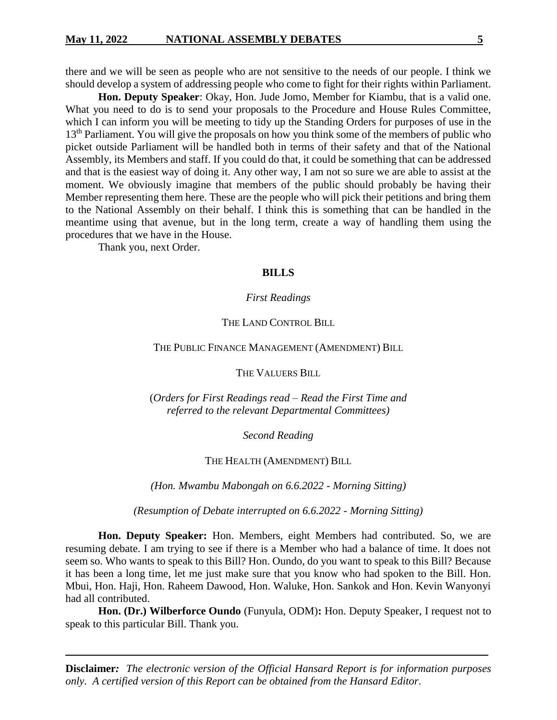there and we will be seen as people who are not sensitive to the needs of our people. I think we should develop a system of addressing people who come to fight for their rights within Parliament.

**Hon. Deputy Speaker**: Okay, Hon. Jude Jomo, Member for Kiambu, that is a valid one. What you need to do is to send your proposals to the Procedure and House Rules Committee, which I can inform you will be meeting to tidy up the Standing Orders for purposes of use in the 13<sup>th</sup> Parliament. You will give the proposals on how you think some of the members of public who picket outside Parliament will be handled both in terms of their safety and that of the National Assembly, its Members and staff. If you could do that, it could be something that can be addressed and that is the easiest way of doing it. Any other way, I am not so sure we are able to assist at the moment. We obviously imagine that members of the public should probably be having their Member representing them here. These are the people who will pick their petitions and bring them to the National Assembly on their behalf. I think this is something that can be handled in the meantime using that avenue, but in the long term, create a way of handling them using the procedures that we have in the House.

Thank you, next Order.

#### **BILLS**

#### *First Readings*

## THE LAND CONTROL BILL

#### THE PUBLIC FINANCE MANAGEMENT (AMENDMENT) BILL

THE VALUERS BILL

(*Orders for First Readings read – Read the First Time and referred to the relevant Departmental Committees)*

*Second Reading*

#### THE HEALTH (AMENDMENT) BILL

*(Hon. Mwambu Mabongah on 6.6.2022 - Morning Sitting)*

*(Resumption of Debate interrupted on 6.6.2022 - Morning Sitting)*

**Hon. Deputy Speaker:** Hon. Members, eight Members had contributed. So, we are resuming debate. I am trying to see if there is a Member who had a balance of time. It does not seem so. Who wants to speak to this Bill? Hon. Oundo, do you want to speak to this Bill? Because it has been a long time, let me just make sure that you know who had spoken to the Bill. Hon. Mbui, Hon. Haji, Hon. Raheem Dawood, Hon. Waluke, Hon. Sankok and Hon. Kevin Wanyonyi had all contributed.

**Hon. (Dr.) Wilberforce Oundo** (Funyula, ODM)**:** Hon. Deputy Speaker, I request not to speak to this particular Bill. Thank you.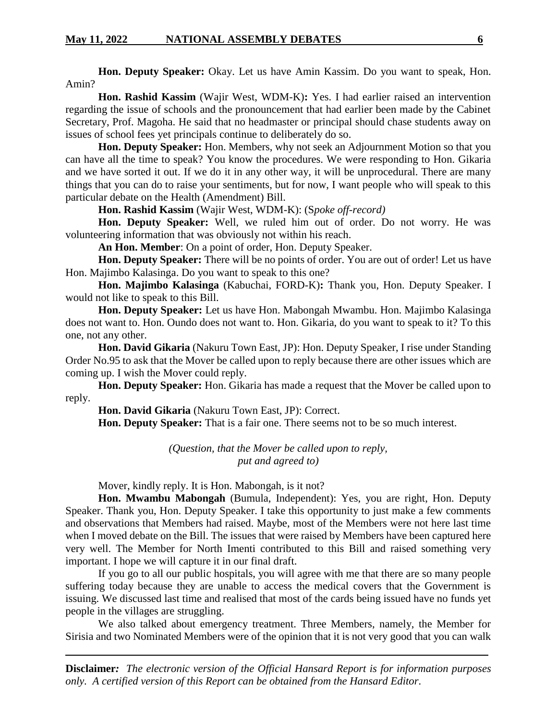**Hon. Deputy Speaker:** Okay. Let us have Amin Kassim. Do you want to speak, Hon. Amin?

**Hon. Rashid Kassim** (Wajir West, WDM-K)**:** Yes. I had earlier raised an intervention regarding the issue of schools and the pronouncement that had earlier been made by the Cabinet Secretary, Prof. Magoha. He said that no headmaster or principal should chase students away on issues of school fees yet principals continue to deliberately do so.

**Hon. Deputy Speaker:** Hon. Members, why not seek an Adjournment Motion so that you can have all the time to speak? You know the procedures. We were responding to Hon. Gikaria and we have sorted it out. If we do it in any other way, it will be unprocedural. There are many things that you can do to raise your sentiments, but for now, I want people who will speak to this particular debate on the Health (Amendment) Bill.

**Hon. Rashid Kassim** (Wajir West, WDM-K): (S*poke off-record)*

**Hon. Deputy Speaker:** Well, we ruled him out of order. Do not worry. He was volunteering information that was obviously not within his reach.

**An Hon. Member**: On a point of order, Hon. Deputy Speaker.

**Hon. Deputy Speaker:** There will be no points of order. You are out of order! Let us have Hon. Majimbo Kalasinga. Do you want to speak to this one?

**Hon. Majimbo Kalasinga** (Kabuchai, FORD-K)**:** Thank you, Hon. Deputy Speaker. I would not like to speak to this Bill.

**Hon. Deputy Speaker:** Let us have Hon. Mabongah Mwambu. Hon. Majimbo Kalasinga does not want to. Hon. Oundo does not want to. Hon. Gikaria, do you want to speak to it? To this one, not any other.

**Hon. David Gikaria** (Nakuru Town East, JP): Hon. Deputy Speaker, I rise under Standing Order No.95 to ask that the Mover be called upon to reply because there are other issues which are coming up. I wish the Mover could reply.

**Hon. Deputy Speaker:** Hon. Gikaria has made a request that the Mover be called upon to reply.

**Hon. David Gikaria** (Nakuru Town East, JP): Correct.

**Hon. Deputy Speaker:** That is a fair one. There seems not to be so much interest.

*(Question, that the Mover be called upon to reply, put and agreed to)*

Mover, kindly reply. It is Hon. Mabongah, is it not?

**Hon. Mwambu Mabongah** (Bumula, Independent): Yes, you are right, Hon. Deputy Speaker. Thank you, Hon. Deputy Speaker. I take this opportunity to just make a few comments and observations that Members had raised. Maybe, most of the Members were not here last time when I moved debate on the Bill. The issues that were raised by Members have been captured here very well. The Member for North Imenti contributed to this Bill and raised something very important. I hope we will capture it in our final draft.

If you go to all our public hospitals, you will agree with me that there are so many people suffering today because they are unable to access the medical covers that the Government is issuing. We discussed last time and realised that most of the cards being issued have no funds yet people in the villages are struggling.

We also talked about emergency treatment. Three Members, namely, the Member for Sirisia and two Nominated Members were of the opinion that it is not very good that you can walk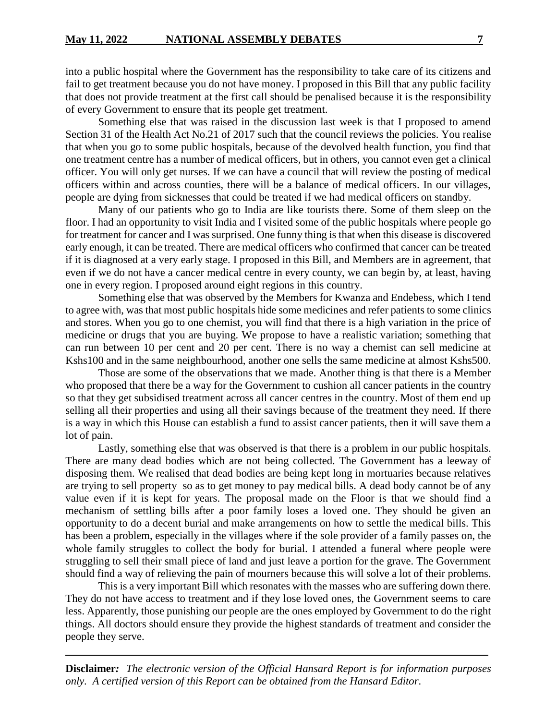into a public hospital where the Government has the responsibility to take care of its citizens and fail to get treatment because you do not have money. I proposed in this Bill that any public facility that does not provide treatment at the first call should be penalised because it is the responsibility of every Government to ensure that its people get treatment.

Something else that was raised in the discussion last week is that I proposed to amend Section 31 of the Health Act No.21 of 2017 such that the council reviews the policies. You realise that when you go to some public hospitals, because of the devolved health function, you find that one treatment centre has a number of medical officers, but in others, you cannot even get a clinical officer. You will only get nurses. If we can have a council that will review the posting of medical officers within and across counties, there will be a balance of medical officers. In our villages, people are dying from sicknesses that could be treated if we had medical officers on standby.

Many of our patients who go to India are like tourists there. Some of them sleep on the floor. I had an opportunity to visit India and I visited some of the public hospitals where people go for treatment for cancer and I was surprised. One funny thing is that when this disease is discovered early enough, it can be treated. There are medical officers who confirmed that cancer can be treated if it is diagnosed at a very early stage. I proposed in this Bill, and Members are in agreement, that even if we do not have a cancer medical centre in every county, we can begin by, at least, having one in every region. I proposed around eight regions in this country.

Something else that was observed by the Members for Kwanza and Endebess, which I tend to agree with, was that most public hospitals hide some medicines and refer patients to some clinics and stores. When you go to one chemist, you will find that there is a high variation in the price of medicine or drugs that you are buying. We propose to have a realistic variation; something that can run between 10 per cent and 20 per cent. There is no way a chemist can sell medicine at Kshs100 and in the same neighbourhood, another one sells the same medicine at almost Kshs500.

Those are some of the observations that we made. Another thing is that there is a Member who proposed that there be a way for the Government to cushion all cancer patients in the country so that they get subsidised treatment across all cancer centres in the country. Most of them end up selling all their properties and using all their savings because of the treatment they need. If there is a way in which this House can establish a fund to assist cancer patients, then it will save them a lot of pain.

Lastly, something else that was observed is that there is a problem in our public hospitals. There are many dead bodies which are not being collected. The Government has a leeway of disposing them. We realised that dead bodies are being kept long in mortuaries because relatives are trying to sell property so as to get money to pay medical bills. A dead body cannot be of any value even if it is kept for years. The proposal made on the Floor is that we should find a mechanism of settling bills after a poor family loses a loved one. They should be given an opportunity to do a decent burial and make arrangements on how to settle the medical bills. This has been a problem, especially in the villages where if the sole provider of a family passes on, the whole family struggles to collect the body for burial. I attended a funeral where people were struggling to sell their small piece of land and just leave a portion for the grave. The Government should find a way of relieving the pain of mourners because this will solve a lot of their problems.

This is a very important Bill which resonates with the masses who are suffering down there. They do not have access to treatment and if they lose loved ones, the Government seems to care less. Apparently, those punishing our people are the ones employed by Government to do the right things. All doctors should ensure they provide the highest standards of treatment and consider the people they serve.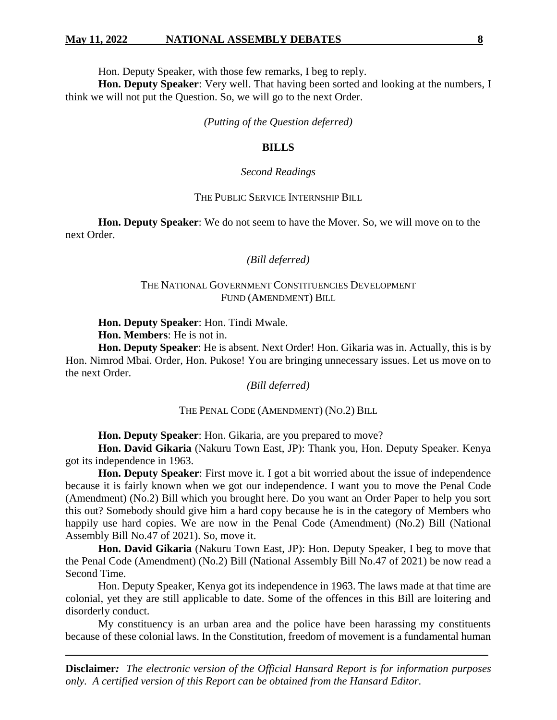#### **May 11, 2022 NATIONAL ASSEMBLY DEBATES 8**

Hon. Deputy Speaker, with those few remarks, I beg to reply.

**Hon. Deputy Speaker**: Very well. That having been sorted and looking at the numbers, I think we will not put the Question. So, we will go to the next Order.

*(Putting of the Question deferred)*

### **BILLS**

#### *Second Readings*

## THE PUBLIC SERVICE INTERNSHIP BILL

**Hon. Deputy Speaker**: We do not seem to have the Mover. So, we will move on to the next Order.

## *(Bill deferred)*

## THE NATIONAL GOVERNMENT CONSTITUENCIES DEVELOPMENT FUND (AMENDMENT) BILL

**Hon. Deputy Speaker**: Hon. Tindi Mwale.

**Hon. Members**: He is not in.

**Hon. Deputy Speaker**: He is absent. Next Order! Hon. Gikaria was in. Actually, this is by Hon. Nimrod Mbai. Order, Hon. Pukose! You are bringing unnecessary issues. Let us move on to the next Order.

## *(Bill deferred)*

## THE PENAL CODE (AMENDMENT) (NO.2) BILL

**Hon. Deputy Speaker**: Hon. Gikaria, are you prepared to move?

**Hon. David Gikaria** (Nakuru Town East, JP): Thank you, Hon. Deputy Speaker. Kenya got its independence in 1963.

**Hon. Deputy Speaker**: First move it. I got a bit worried about the issue of independence because it is fairly known when we got our independence. I want you to move the Penal Code (Amendment) (No.2) Bill which you brought here. Do you want an Order Paper to help you sort this out? Somebody should give him a hard copy because he is in the category of Members who happily use hard copies. We are now in the Penal Code (Amendment) (No.2) Bill (National Assembly Bill No.47 of 2021). So, move it.

**Hon. David Gikaria** (Nakuru Town East, JP): Hon. Deputy Speaker, I beg to move that the Penal Code (Amendment) (No.2) Bill (National Assembly Bill No.47 of 2021) be now read a Second Time.

Hon. Deputy Speaker, Kenya got its independence in 1963. The laws made at that time are colonial, yet they are still applicable to date. Some of the offences in this Bill are loitering and disorderly conduct.

My constituency is an urban area and the police have been harassing my constituents because of these colonial laws. In the Constitution, freedom of movement is a fundamental human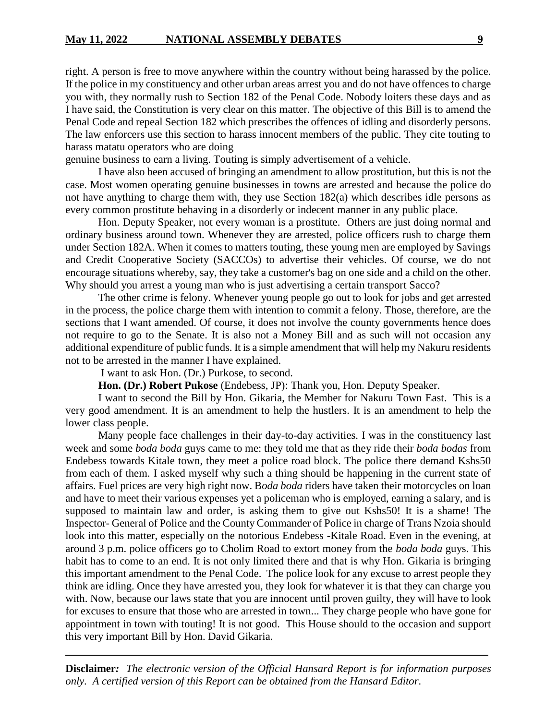right. A person is free to move anywhere within the country without being harassed by the police. If the police in my constituency and other urban areas arrest you and do not have offences to charge you with, they normally rush to Section 182 of the Penal Code. Nobody loiters these days and as I have said, the Constitution is very clear on this matter. The objective of this Bill is to amend the Penal Code and repeal Section 182 which prescribes the offences of idling and disorderly persons. The law enforcers use this section to harass innocent members of the public. They cite touting to harass matatu operators who are doing

genuine business to earn a living. Touting is simply advertisement of a vehicle.

I have also been accused of bringing an amendment to allow prostitution, but this is not the case. Most women operating genuine businesses in towns are arrested and because the police do not have anything to charge them with, they use Section 182(a) which describes idle persons as every common prostitute behaving in a disorderly or indecent manner in any public place.

Hon. Deputy Speaker, not every woman is a prostitute. Others are just doing normal and ordinary business around town. Whenever they are arrested, police officers rush to charge them under Section 182A. When it comes to matters touting, these young men are employed by Savings and Credit Cooperative Society (SACCOs) to advertise their vehicles. Of course, we do not encourage situations whereby, say, they take a customer's bag on one side and a child on the other. Why should you arrest a young man who is just advertising a certain transport Sacco?

The other crime is felony. Whenever young people go out to look for jobs and get arrested in the process, the police charge them with intention to commit a felony. Those, therefore, are the sections that I want amended. Of course, it does not involve the county governments hence does not require to go to the Senate. It is also not a Money Bill and as such will not occasion any additional expenditure of public funds. It is a simple amendment that will help my Nakuru residents not to be arrested in the manner I have explained.

I want to ask Hon. (Dr.) Purkose, to second.

**Hon. (Dr.) Robert Pukose** (Endebess, JP): Thank you, Hon. Deputy Speaker.

I want to second the Bill by Hon. Gikaria, the Member for Nakuru Town East. This is a very good amendment. It is an amendment to help the hustlers. It is an amendment to help the lower class people.

Many people face challenges in their day-to-day activities. I was in the constituency last week and some *boda boda* guys came to me: they told me that as they ride their *boda bodas* from Endebess towards Kitale town, they meet a police road block. The police there demand Kshs50 from each of them. I asked myself why such a thing should be happening in the current state of affairs. Fuel prices are very high right now. B*oda boda* riders have taken their motorcycles on loan and have to meet their various expenses yet a policeman who is employed, earning a salary, and is supposed to maintain law and order, is asking them to give out Kshs50! It is a shame! The Inspector- General of Police and the County Commander of Police in charge of Trans Nzoia should look into this matter, especially on the notorious Endebess -Kitale Road. Even in the evening, at around 3 p.m. police officers go to Cholim Road to extort money from the *boda boda* guys. This habit has to come to an end. It is not only limited there and that is why Hon. Gikaria is bringing this important amendment to the Penal Code. The police look for any excuse to arrest people they think are idling. Once they have arrested you, they look for whatever it is that they can charge you with. Now, because our laws state that you are innocent until proven guilty, they will have to look for excuses to ensure that those who are arrested in town... They charge people who have gone for appointment in town with touting! It is not good. This House should to the occasion and support this very important Bill by Hon. David Gikaria.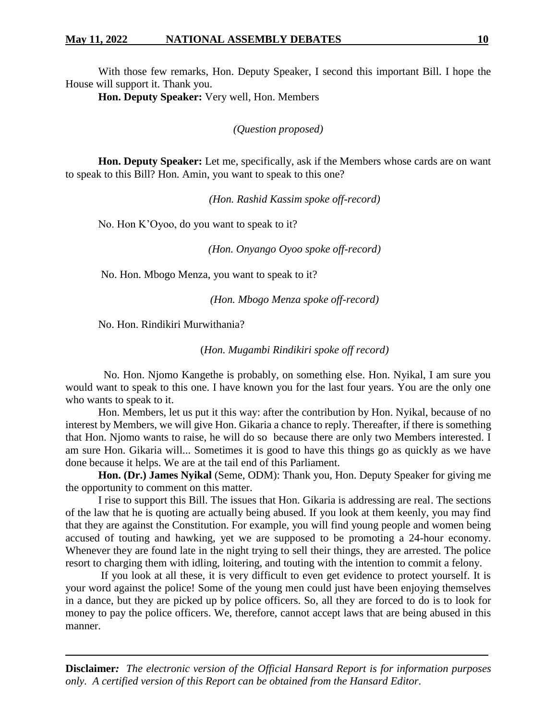With those few remarks, Hon. Deputy Speaker, I second this important Bill. I hope the House will support it. Thank you.

**Hon. Deputy Speaker:** Very well, Hon. Members

*(Question proposed)*

**Hon. Deputy Speaker:** Let me, specifically, ask if the Members whose cards are on want to speak to this Bill? Hon. Amin, you want to speak to this one?

*(Hon. Rashid Kassim spoke off-record)*

No. Hon K'Oyoo, do you want to speak to it?

*(Hon. Onyango Oyoo spoke off-record)*

No. Hon. Mbogo Menza, you want to speak to it?

*(Hon. Mbogo Menza spoke off-record)*

No. Hon. Rindikiri Murwithania?

(*Hon. Mugambi Rindikiri spoke off record)*

 No. Hon. Njomo Kangethe is probably, on something else. Hon. Nyikal, I am sure you would want to speak to this one. I have known you for the last four years. You are the only one who wants to speak to it.

Hon. Members, let us put it this way: after the contribution by Hon. Nyikal, because of no interest by Members, we will give Hon. Gikaria a chance to reply. Thereafter, if there is something that Hon. Njomo wants to raise, he will do so because there are only two Members interested. I am sure Hon. Gikaria will... Sometimes it is good to have this things go as quickly as we have done because it helps. We are at the tail end of this Parliament.

**Hon. (Dr.) James Nyikal** (Seme, ODM): Thank you, Hon. Deputy Speaker for giving me the opportunity to comment on this matter.

I rise to support this Bill. The issues that Hon. Gikaria is addressing are real. The sections of the law that he is quoting are actually being abused. If you look at them keenly, you may find that they are against the Constitution. For example, you will find young people and women being accused of touting and hawking, yet we are supposed to be promoting a 24-hour economy. Whenever they are found late in the night trying to sell their things, they are arrested. The police resort to charging them with idling, loitering, and touting with the intention to commit a felony.

If you look at all these, it is very difficult to even get evidence to protect yourself. It is your word against the police! Some of the young men could just have been enjoying themselves in a dance, but they are picked up by police officers. So, all they are forced to do is to look for money to pay the police officers. We, therefore, cannot accept laws that are being abused in this manner.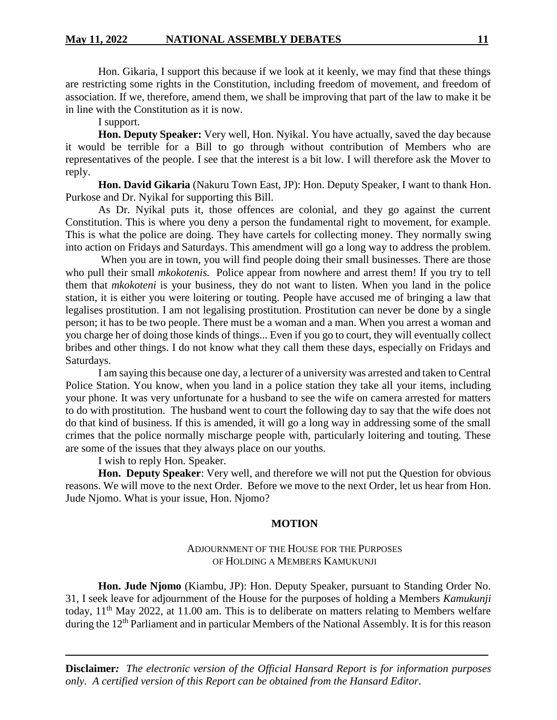Hon. Gikaria, I support this because if we look at it keenly, we may find that these things are restricting some rights in the Constitution, including freedom of movement, and freedom of association. If we, therefore, amend them, we shall be improving that part of the law to make it be in line with the Constitution as it is now.

I support.

**Hon. Deputy Speaker:** Very well, Hon. Nyikal. You have actually, saved the day because it would be terrible for a Bill to go through without contribution of Members who are representatives of the people. I see that the interest is a bit low. I will therefore ask the Mover to reply.

**Hon. David Gikaria** (Nakuru Town East, JP): Hon. Deputy Speaker, I want to thank Hon. Purkose and Dr. Nyikal for supporting this Bill.

As Dr. Nyikal puts it, those offences are colonial, and they go against the current Constitution. This is where you deny a person the fundamental right to movement, for example. This is what the police are doing. They have cartels for collecting money. They normally swing into action on Fridays and Saturdays. This amendment will go a long way to address the problem.

When you are in town, you will find people doing their small businesses. There are those who pull their small *mkokotenis.* Police appear from nowhere and arrest them! If you try to tell them that *mkokoteni* is your business, they do not want to listen. When you land in the police station, it is either you were loitering or touting. People have accused me of bringing a law that legalises prostitution. I am not legalising prostitution. Prostitution can never be done by a single person; it has to be two people. There must be a woman and a man. When you arrest a woman and you charge her of doing those kinds of things... Even if you go to court, they will eventually collect bribes and other things. I do not know what they call them these days, especially on Fridays and Saturdays.

I am saying this because one day, a lecturer of a university was arrested and taken to Central Police Station. You know, when you land in a police station they take all your items, including your phone. It was very unfortunate for a husband to see the wife on camera arrested for matters to do with prostitution. The husband went to court the following day to say that the wife does not do that kind of business. If this is amended, it will go a long way in addressing some of the small crimes that the police normally mischarge people with, particularly loitering and touting. These are some of the issues that they always place on our youths.

I wish to reply Hon. Speaker.

**Hon. Deputy Speaker**: Very well, and therefore we will not put the Question for obvious reasons. We will move to the next Order. Before we move to the next Order, let us hear from Hon. Jude Njomo. What is your issue, Hon. Njomo?

#### **MOTION**

## ADJOURNMENT OF THE HOUSE FOR THE PURPOSES OF HOLDING A MEMBERS KAMUKUNJI

**Hon. Jude Njomo** (Kiambu, JP): Hon. Deputy Speaker, pursuant to Standing Order No. 31, I seek leave for adjournment of the House for the purposes of holding a Members *Kamukunji* today,  $11<sup>th</sup>$  May 2022, at 11.00 am. This is to deliberate on matters relating to Members welfare during the 12<sup>th</sup> Parliament and in particular Members of the National Assembly. It is for this reason